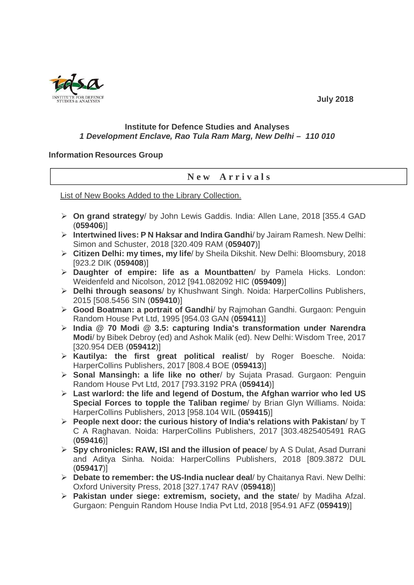

## **Institute for Defence Studies and Analyses 1 Development Enclave, Rao Tula Ram Marg, New Delhi – 110 010**

## **Information Resources Group**

## **N e w A r r i v a l s**

List of New Books Added to the Library Collection.

- **On grand strategy**/ by John Lewis Gaddis. India: Allen Lane, 2018 [355.4 GAD (**059406**)]
- **Intertwined lives: P N Haksar and Indira Gandhi**/ by Jairam Ramesh. New Delhi: Simon and Schuster, 2018 [320.409 RAM (**059407**)]
- **Citizen Delhi: my times, my life**/ by Sheila Dikshit. New Delhi: Bloomsbury, 2018 [923.2 DIK (**059408**)]
- **Daughter of empire: life as a Mountbatten**/ by Pamela Hicks. London: Weidenfeld and Nicolson, 2012 [941.082092 HIC (**059409**)]
- **Delhi through seasons**/ by Khushwant Singh. Noida: HarperCollins Publishers, 2015 [508.5456 SIN (**059410**)]
- **Good Boatman: a portrait of Gandhi**/ by Rajmohan Gandhi. Gurgaon: Penguin Random House Pvt Ltd, 1995 [954.03 GAN (**059411**)]
- **India @ 70 Modi @ 3.5: capturing India's transformation under Narendra Modi**/ by Bibek Debroy (ed) and Ashok Malik (ed). New Delhi: Wisdom Tree, 2017 [320.954 DEB (**059412**)]
- **Kautilya: the first great political realist**/ by Roger Boesche. Noida: HarperCollins Publishers, 2017 [808.4 BOE (**059413**)]
- **Sonal Mansingh: a life like no other**/ by Sujata Prasad. Gurgaon: Penguin Random House Pvt Ltd, 2017 [793.3192 PRA (**059414**)]
- **Last warlord: the life and legend of Dostum, the Afghan warrior who led US Special Forces to topple the Taliban regime**/ by Brian Glyn Williams. Noida: HarperCollins Publishers, 2013 [958.104 WIL (**059415**)]
- **People next door: the curious history of India's relations with Pakistan**/ by T C A Raghavan. Noida: HarperCollins Publishers, 2017 [303.4825405491 RAG (**059416**)]
- **Spy chronicles: RAW, ISI and the illusion of peace**/ by A S Dulat, Asad Durrani and Aditya Sinha. Noida: HarperCollins Publishers, 2018 [809.3872 DUL (**059417**)]
- **Debate to remember: the US-India nuclear deal**/ by Chaitanya Ravi. New Delhi: Oxford University Press, 2018 [327.1747 RAV (**059418**)]
- **Pakistan under siege: extremism, society, and the state**/ by Madiha Afzal. Gurgaon: Penguin Random House India Pvt Ltd, 2018 [954.91 AFZ (**059419**)]

 **July 2018**